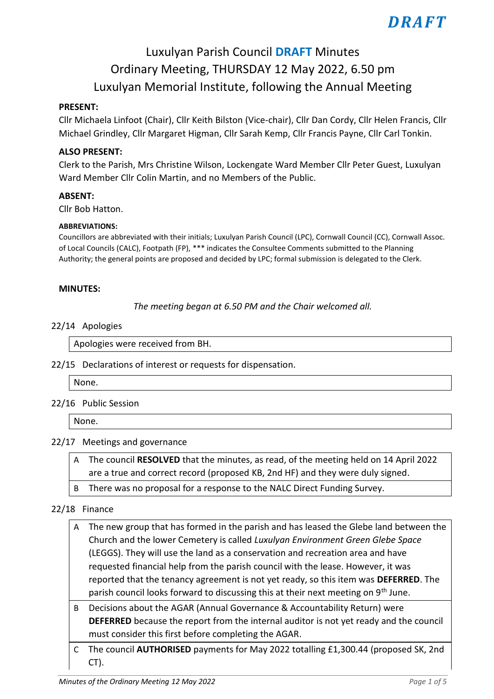# Luxulyan Parish Council **DRAFT** Minutes Ordinary Meeting, THURSDAY 12 May 2022, 6.50 pm Luxulyan Memorial Institute, following the Annual Meeting

### **PRESENT:**

Cllr Michaela Linfoot (Chair), Cllr Keith Bilston (Vice-chair), Cllr Dan Cordy, Cllr Helen Francis, Cllr Michael Grindley, Cllr Margaret Higman, Cllr Sarah Kemp, Cllr Francis Payne, Cllr Carl Tonkin.

### **ALSO PRESENT:**

Clerk to the Parish, Mrs Christine Wilson, Lockengate Ward Member Cllr Peter Guest, Luxulyan Ward Member Cllr Colin Martin, and no Members of the Public.

### **ABSENT:**

Cllr Bob Hatton.

#### **ABBREVIATIONS:**

Councillors are abbreviated with their initials; Luxulyan Parish Council (LPC), Cornwall Council (CC), Cornwall Assoc. of Local Councils (CALC), Footpath (FP), \*\*\* indicates the Consultee Comments submitted to the Planning Authority; the general points are proposed and decided by LPC; formal submission is delegated to the Clerk.

#### **MINUTES:**

*The meeting began at 6.50 PM and the Chair welcomed all.*

#### 22/14 Apologies

Apologies were received from BH.

22/15 Declarations of interest or requests for dispensation.

None.

### 22/16 Public Session

None.

### 22/17 Meetings and governance

A The council **RESOLVED** that the minutes, as read, of the meeting held on 14 April 2022 are a true and correct record (proposed KB, 2nd HF) and they were duly signed.

B There was no proposal for a response to the NALC Direct Funding Survey.

### 22/18 Finance

- A The new group that has formed in the parish and has leased the Glebe land between the Church and the lower Cemetery is called *Luxulyan Environment Green Glebe Space* (LEGGS). They will use the land as a conservation and recreation area and have requested financial help from the parish council with the lease. However, it was reported that the tenancy agreement is not yet ready, so this item was **DEFERRED**. The parish council looks forward to discussing this at their next meeting on 9th June.
- B Decisions about the AGAR (Annual Governance & Accountability Return) were **DEFERRED** because the report from the internal auditor is not yet ready and the council must consider this first before completing the AGAR.
- C The council **AUTHORISED** payments for May 2022 totalling £1,300.44 (proposed SK, 2nd CT).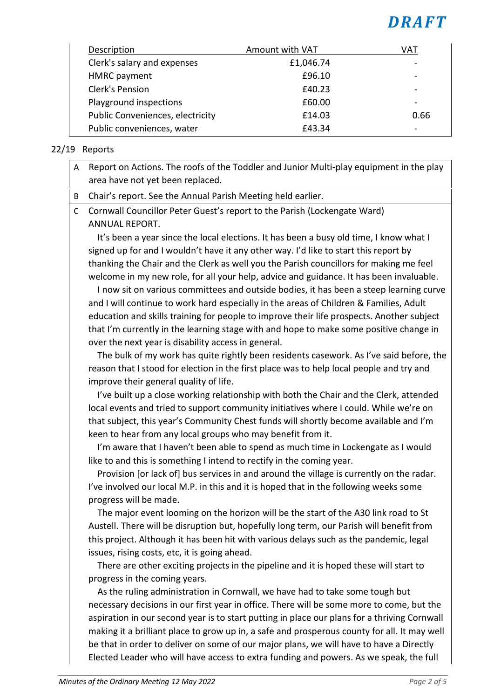| Description                      | Amount with VAT | VAT                      |
|----------------------------------|-----------------|--------------------------|
| Clerk's salary and expenses      | £1,046.74       |                          |
| <b>HMRC</b> payment              | £96.10          |                          |
| <b>Clerk's Pension</b>           | £40.23          | $\overline{\phantom{0}}$ |
| Playground inspections           | £60.00          |                          |
| Public Conveniences, electricity | £14.03          | 0.66                     |
| Public conveniences, water       | £43.34          |                          |

# 22/19 Reports

- A Report on Actions. The roofs of the Toddler and Junior Multi-play equipment in the play area have not yet been replaced.
- B Chair's report. See the Annual Parish Meeting held earlier.
- C Cornwall Councillor Peter Guest's report to the Parish (Lockengate Ward) ANNUAL REPORT.

 It's been a year since the local elections. It has been a busy old time, I know what I signed up for and I wouldn't have it any other way. I'd like to start this report by thanking the Chair and the Clerk as well you the Parish councillors for making me feel welcome in my new role, for all your help, advice and guidance. It has been invaluable.

 I now sit on various committees and outside bodies, it has been a steep learning curve and I will continue to work hard especially in the areas of Children & Families, Adult education and skills training for people to improve their life prospects. Another subject that I'm currently in the learning stage with and hope to make some positive change in over the next year is disability access in general.

 The bulk of my work has quite rightly been residents casework. As I've said before, the reason that I stood for election in the first place was to help local people and try and improve their general quality of life.

 I've built up a close working relationship with both the Chair and the Clerk, attended local events and tried to support community initiatives where I could. While we're on that subject, this year's Community Chest funds will shortly become available and I'm keen to hear from any local groups who may benefit from it.

I'm aware that I haven't been able to spend as much time in Lockengate as I would like to and this is something I intend to rectify in the coming year.

 Provision [or lack of] bus services in and around the village is currently on the radar. I've involved our local M.P. in this and it is hoped that in the following weeks some progress will be made.

 The major event looming on the horizon will be the start of the A30 link road to St Austell. There will be disruption but, hopefully long term, our Parish will benefit from this project. Although it has been hit with various delays such as the pandemic, legal issues, rising costs, etc, it is going ahead.

 There are other exciting projects in the pipeline and it is hoped these will start to progress in the coming years.

 As the ruling administration in Cornwall, we have had to take some tough but necessary decisions in our first year in office. There will be some more to come, but the aspiration in our second year is to start putting in place our plans for a thriving Cornwall making it a brilliant place to grow up in, a safe and prosperous county for all. It may well be that in order to deliver on some of our major plans, we will have to have a Directly Elected Leader who will have access to extra funding and powers. As we speak, the full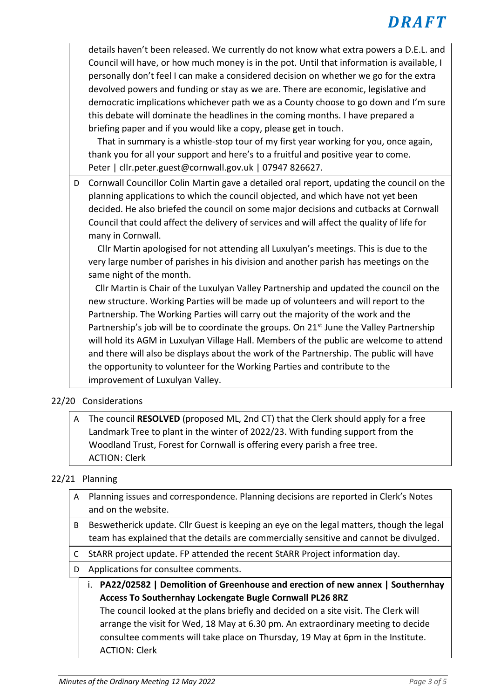details haven't been released. We currently do not know what extra powers a D.E.L. and Council will have, or how much money is in the pot. Until that information is available, I personally don't feel I can make a considered decision on whether we go for the extra devolved powers and funding or stay as we are. There are economic, legislative and democratic implications whichever path we as a County choose to go down and I'm sure this debate will dominate the headlines in the coming months. I have prepared a briefing paper and if you would like a copy, please get in touch.

 That in summary is a whistle-stop tour of my first year working for you, once again, thank you for all your support and here's to a fruitful and positive year to come. Peter | cllr.peter.guest@cornwall.gov.uk | 07947 826627.

D Cornwall Councillor Colin Martin gave a detailed oral report, updating the council on the planning applications to which the council objected, and which have not yet been decided. He also briefed the council on some major decisions and cutbacks at Cornwall Council that could affect the delivery of services and will affect the quality of life for many in Cornwall.

 Cllr Martin apologised for not attending all Luxulyan's meetings. This is due to the very large number of parishes in his division and another parish has meetings on the same night of the month.

 Cllr Martin is Chair of the Luxulyan Valley Partnership and updated the council on the new structure. Working Parties will be made up of volunteers and will report to the Partnership. The Working Parties will carry out the majority of the work and the Partnership's job will be to coordinate the groups. On 21<sup>st</sup> June the Valley Partnership will hold its AGM in Luxulyan Village Hall. Members of the public are welcome to attend and there will also be displays about the work of the Partnership. The public will have the opportunity to volunteer for the Working Parties and contribute to the improvement of Luxulyan Valley.

# 22/20 Considerations

A The council **RESOLVED** (proposed ML, 2nd CT) that the Clerk should apply for a free Landmark Tree to plant in the winter of 2022/23. With funding support from the Woodland Trust, Forest for Cornwall is offering every parish a free tree. ACTION: Clerk

# 22/21 Planning

- A Planning issues and correspondence. Planning decisions are reported in Clerk's Notes and on the website.
- B Beswetherick update. Cllr Guest is keeping an eye on the legal matters, though the legal team has explained that the details are commercially sensitive and cannot be divulged.
- C StARR project update. FP attended the recent StARR Project information day.
- D Applications for consultee comments.
	- i. **PA22/02582 | Demolition of Greenhouse and erection of new annex | Southernhay Access To Southernhay Lockengate Bugle Cornwall PL26 8RZ** The council looked at the plans briefly and decided on a site visit. The Clerk will arrange the visit for Wed, 18 May at 6.30 pm. An extraordinary meeting to decide consultee comments will take place on Thursday, 19 May at 6pm in the Institute. ACTION: Clerk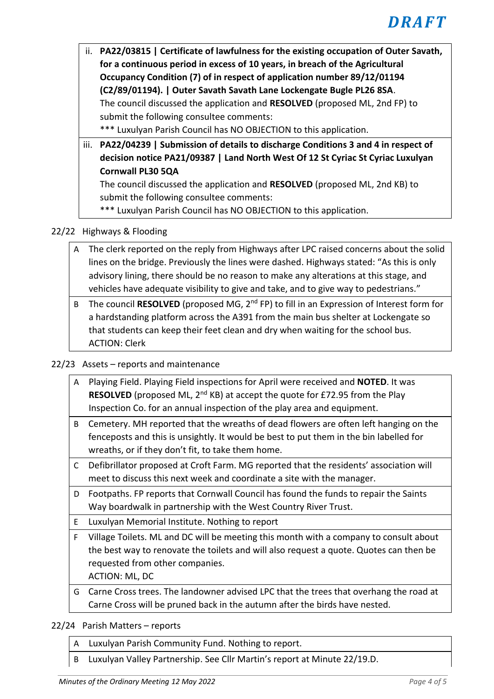ii. **PA22/03815 | Certificate of lawfulness for the existing occupation of Outer Savath, for a continuous period in excess of 10 years, in breach of the Agricultural Occupancy Condition (7) of in respect of application number 89/12/01194 (C2/89/01194). | Outer Savath Savath Lane Lockengate Bugle PL26 8SA**. The council discussed the application and **RESOLVED** (proposed ML, 2nd FP) to submit the following consultee comments:

\*\*\* Luxulyan Parish Council has NO OBJECTION to this application.

iii. **PA22/04239 | Submission of details to discharge Conditions 3 and 4 in respect of decision notice PA21/09387 | Land North West Of 12 St Cyriac St Cyriac Luxulyan Cornwall PL30 5QA**

The council discussed the application and **RESOLVED** (proposed ML, 2nd KB) to submit the following consultee comments:

\*\*\* Luxulyan Parish Council has NO OBJECTION to this application.

# 22/22 Highways & Flooding

- A The clerk reported on the reply from Highways after LPC raised concerns about the solid lines on the bridge. Previously the lines were dashed. Highways stated: "As this is only advisory lining, there should be no reason to make any alterations at this stage, and vehicles have adequate visibility to give and take, and to give way to pedestrians."
- B The council RESOLVED (proposed MG, 2<sup>nd</sup> FP) to fill in an Expression of Interest form for a hardstanding platform across the A391 from the main bus shelter at Lockengate so that students can keep their feet clean and dry when waiting for the school bus. ACTION: Clerk

# 22/23 Assets – reports and maintenance

- A Playing Field. Playing Field inspections for April were received and **NOTED**. It was **RESOLVED** (proposed ML, 2<sup>nd</sup> KB) at accept the quote for £72.95 from the Play Inspection Co. for an annual inspection of the play area and equipment.
- B Cemetery. MH reported that the wreaths of dead flowers are often left hanging on the fenceposts and this is unsightly. It would be best to put them in the bin labelled for wreaths, or if they don't fit, to take them home.
- C Defibrillator proposed at Croft Farm. MG reported that the residents' association will meet to discuss this next week and coordinate a site with the manager.
- D Footpaths. FP reports that Cornwall Council has found the funds to repair the Saints Way boardwalk in partnership with the West Country River Trust.
- E Luxulyan Memorial Institute. Nothing to report
- F Village Toilets. ML and DC will be meeting this month with a company to consult about the best way to renovate the toilets and will also request a quote. Quotes can then be requested from other companies.

ACTION: ML, DC

G Carne Cross trees. The landowner advised LPC that the trees that overhang the road at Carne Cross will be pruned back in the autumn after the birds have nested.

22/24 Parish Matters – reports

- A Luxulyan Parish Community Fund. Nothing to report.
- B Luxulyan Valley Partnership. See Cllr Martin's report at Minute 22/19.D.